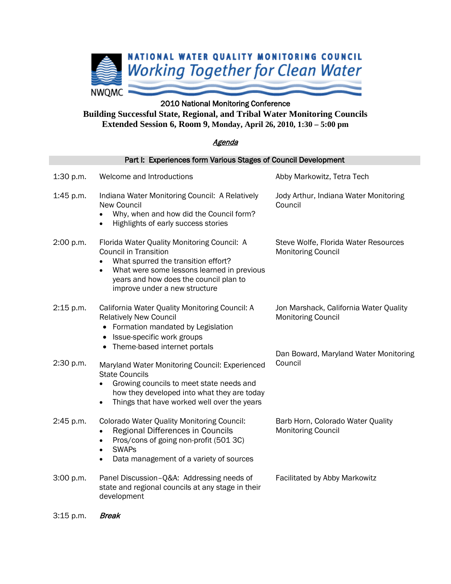

## 2010 National Monitoring Conference

**Building Successful State, Regional, and Tribal Water Monitoring Councils Extended Session 6, Room 9, Monday, April 26, 2010, 1:30 – 5:00 pm**

## Agenda

| Part I: Experiences form Various Stages of Council Development |                                                                                                                                                                                                                                             |                                                                     |  |
|----------------------------------------------------------------|---------------------------------------------------------------------------------------------------------------------------------------------------------------------------------------------------------------------------------------------|---------------------------------------------------------------------|--|
| 1:30 p.m.                                                      | Welcome and Introductions                                                                                                                                                                                                                   | Abby Markowitz, Tetra Tech                                          |  |
| 1:45 p.m.                                                      | Indiana Water Monitoring Council: A Relatively<br><b>New Council</b><br>Why, when and how did the Council form?<br>Highlights of early success stories                                                                                      | Jody Arthur, Indiana Water Monitoring<br>Council                    |  |
| 2:00 p.m.                                                      | Florida Water Quality Monitoring Council: A<br><b>Council in Transition</b><br>What spurred the transition effort?<br>What were some lessons learned in previous<br>years and how does the council plan to<br>improve under a new structure | Steve Wolfe, Florida Water Resources<br><b>Monitoring Council</b>   |  |
| 2:15 p.m.                                                      | California Water Quality Monitoring Council: A<br><b>Relatively New Council</b><br>• Formation mandated by Legislation<br>Issue-specific work groups<br>Theme-based internet portals<br>٠                                                   | Jon Marshack, California Water Quality<br><b>Monitoring Council</b> |  |
| 2:30 p.m.                                                      | Maryland Water Monitoring Council: Experienced<br><b>State Councils</b><br>Growing councils to meet state needs and<br>how they developed into what they are today<br>Things that have worked well over the years<br>$\bullet$              | Dan Boward, Maryland Water Monitoring<br>Council                    |  |
| 2:45 p.m.                                                      | Colorado Water Quality Monitoring Council:<br>Regional Differences in Councils<br>Pros/cons of going non-profit (501 3C)<br>$\bullet$<br><b>SWAPs</b><br>Data management of a variety of sources                                            | Barb Horn, Colorado Water Quality<br><b>Monitoring Council</b>      |  |
| 3:00 p.m.                                                      | Panel Discussion-Q&A: Addressing needs of<br>state and regional councils at any stage in their<br>development                                                                                                                               | Facilitated by Abby Markowitz                                       |  |

3:15 p.m. *Break*